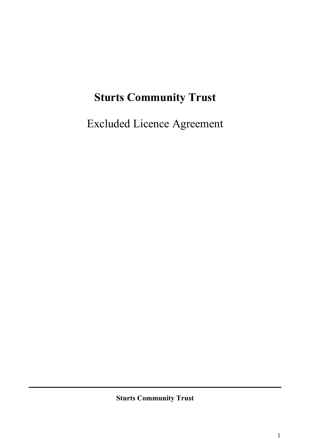# **Sturts Community Trust**

Excluded Licence Agreement

**Sturts Community Trust**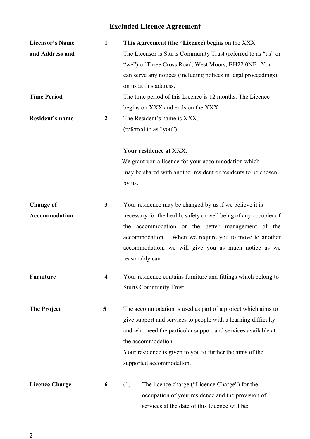## **Excluded Licence Agreement**

| <b>Licensor's Name</b> | 1                       | This Agreement (the "Licence) begins on the XXX                   |  |  |
|------------------------|-------------------------|-------------------------------------------------------------------|--|--|
| and Address and        |                         | The Licensor is Sturts Community Trust (referred to as "us" or    |  |  |
|                        |                         | "we") of Three Cross Road, West Moors, BH22 0NF. You              |  |  |
|                        |                         | can serve any notices (including notices in legal proceedings)    |  |  |
|                        |                         | on us at this address.                                            |  |  |
| <b>Time Period</b>     |                         | The time period of this Licence is 12 months. The Licence         |  |  |
|                        |                         | begins on XXX and ends on the XXX                                 |  |  |
| Resident's name        | $\boldsymbol{2}$        | The Resident's name is XXX.                                       |  |  |
|                        |                         | (referred to as "you").                                           |  |  |
|                        |                         | Your residence at XXX.                                            |  |  |
|                        |                         | We grant you a licence for your accommodation which               |  |  |
|                        |                         | may be shared with another resident or residents to be chosen     |  |  |
|                        |                         | by us.                                                            |  |  |
| <b>Change of</b>       | 3                       | Your residence may be changed by us if we believe it is           |  |  |
| Accommodation          |                         | necessary for the health, safety or well being of any occupier of |  |  |
|                        |                         | the accommodation or the better management of the                 |  |  |
|                        |                         | accommodation.<br>When we require you to move to another          |  |  |
|                        |                         | accommodation, we will give you as much notice as we              |  |  |
|                        |                         | reasonably can.                                                   |  |  |
| <b>Furniture</b>       | $\overline{\mathbf{4}}$ | Your residence contains furniture and fittings which belong to    |  |  |
|                        |                         | <b>Sturts Community Trust.</b>                                    |  |  |
| <b>The Project</b>     | 5                       | The accommodation is used as part of a project which aims to      |  |  |
|                        |                         | give support and services to people with a learning difficulty    |  |  |
|                        |                         | and who need the particular support and services available at     |  |  |
|                        |                         | the accommodation.                                                |  |  |
|                        |                         | Your residence is given to you to further the aims of the         |  |  |
|                        |                         | supported accommodation.                                          |  |  |
| <b>Licence Charge</b>  | 6                       | The licence charge ("Licence Charge") for the<br>(1)              |  |  |
|                        |                         | occupation of your residence and the provision of                 |  |  |
|                        |                         | services at the date of this Licence will be:                     |  |  |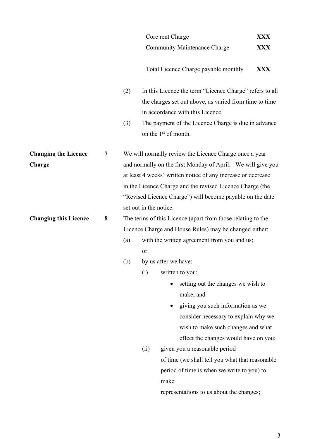|                              |   |                                                             |                                                              | Core rent Charge                                                                        | <b>XXX</b> |  |
|------------------------------|---|-------------------------------------------------------------|--------------------------------------------------------------|-----------------------------------------------------------------------------------------|------------|--|
|                              |   |                                                             |                                                              | <b>Community Maintenance Charge</b>                                                     | <b>XXX</b> |  |
|                              |   |                                                             |                                                              | Total Licence Charge payable monthly                                                    | <b>XXX</b> |  |
|                              |   | (2)                                                         |                                                              | In this Licence the term "Licence Charge" refers to all                                 |            |  |
|                              |   |                                                             |                                                              | the charges set out above, as varied from time to time                                  |            |  |
|                              |   |                                                             |                                                              | in accordance with this Licence.                                                        |            |  |
|                              |   | (3)                                                         |                                                              | The payment of the Licence Charge is due in advance<br>on the 1 <sup>st</sup> of month. |            |  |
| <b>Changing the Licence</b>  | 7 |                                                             |                                                              | We will normally review the Licence Charge once a year                                  |            |  |
| Charge                       |   | and normally on the first Monday of April. We will give you |                                                              |                                                                                         |            |  |
|                              |   |                                                             | at least 4 weeks' written notice of any increase or decrease |                                                                                         |            |  |
|                              |   |                                                             |                                                              | in the Licence Charge and the revised Licence Charge (the                               |            |  |
|                              |   |                                                             |                                                              | "Revised Licence Charge") will become payable on the date                               |            |  |
|                              |   |                                                             |                                                              | set out in the notice.                                                                  |            |  |
| <b>Changing this Licence</b> | 8 | The terms of this Licence (apart from those relating to the |                                                              |                                                                                         |            |  |
|                              |   |                                                             | Licence Charge and House Rules) may be changed either:       |                                                                                         |            |  |
|                              |   | (a)                                                         |                                                              | with the written agreement from you and us;                                             |            |  |
|                              |   |                                                             | or                                                           |                                                                                         |            |  |
|                              |   | (b)                                                         |                                                              | by us after we have:                                                                    |            |  |
|                              |   |                                                             | (i)                                                          | written to you;                                                                         |            |  |
|                              |   |                                                             |                                                              | setting out the changes we wish to                                                      |            |  |
|                              |   |                                                             |                                                              | make; and                                                                               |            |  |
|                              |   |                                                             |                                                              | giving you such information as we                                                       |            |  |
|                              |   |                                                             |                                                              | consider necessary to explain why we                                                    |            |  |
|                              |   |                                                             |                                                              | wish to make such changes and what                                                      |            |  |
|                              |   |                                                             |                                                              | effect the changes would have on you;<br>given you a reasonable period                  |            |  |
|                              |   |                                                             | (ii)                                                         | of time (we shall tell you what that reasonable                                         |            |  |
|                              |   |                                                             |                                                              | period of time is when we write to you) to                                              |            |  |
|                              |   |                                                             |                                                              | make                                                                                    |            |  |
|                              |   |                                                             |                                                              | representations to us about the changes;                                                |            |  |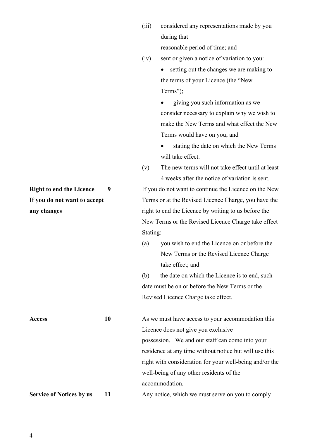(iv) sent or given a notice of variation to you:

• setting out the changes we are making to the terms of your Licence (the "New Terms");

• giving you such information as we consider necessary to explain why we wish to make the New Terms and what effect the New Terms would have on you; and

stating the date on which the New Terms will take effect.

(v) The new terms will not take effect until at least 4 weeks after the notice of variation is sent.

**Right to end the Licence** 9 If you do not want to continue the Licence on the New **If you do not want to accept** Terms or at the Revised Licence Charge, you have the **any changes** right to end the Licence by writing to us before the New Terms or the Revised Licence Charge take effect Stating:

> (a) you wish to end the Licence on or before the New Terms or the Revised Licence Charge take effect; and

> (b) the date on which the Licence is to end, such date must be on or before the New Terms or the Revised Licence Charge take effect.

Access **10** As we must have access to your accommodation this Licence does not give you exclusive possession. We and our staff can come into your residence at any time without notice but will use this right with consideration for your well-being and/or the well-being of any other residents of the accommodation.

**Service of Notices by us** 11 Any notice, which we must serve on you to comply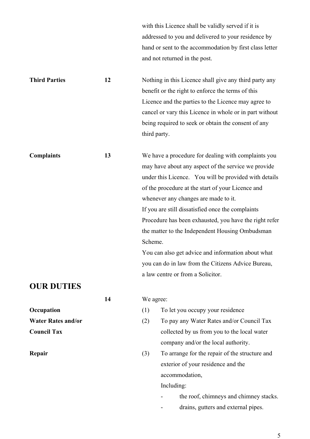with this Licence shall be validly served if it is addressed to you and delivered to your residence by hand or sent to the accommodation by first class letter and not returned in the post.

**Third Parties** 12 Nothing in this Licence shall give any third party any benefit or the right to enforce the terms of this Licence and the parties to the Licence may agree to cancel or vary this Licence in whole or in part without being required to seek or obtain the consent of any third party.

**Complaints** 13 We have a procedure for dealing with complaints you may have about any aspect of the service we provide under this Licence. You will be provided with details of the procedure at the start of your Licence and whenever any changes are made to it. If you are still dissatisfied once the complaints Procedure has been exhausted, you have the right refer the matter to the Independent Housing Ombudsman Scheme. You can also get advice and information about what

you can do in law from the Citizens Advice Bureau, a law centre or from a Solicitor.

## **OUR DUTIES**

**14** We agree:

- **Occupation** (1) To let you occupy your residence
- **Water Rates and/or** (2) To pay any Water Rates and/or Council Tax **Council Tax** collected by us from you to the local water company and/or the local authority.
- **Repair** (3) To arrange for the repair of the structure and exterior of your residence and the accommodation,

Including:

- the roof, chimneys and chimney stacks.
- drains, gutters and external pipes.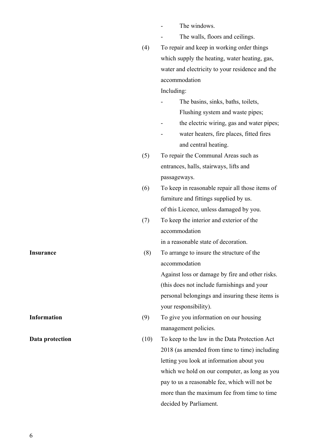- The windows.
	- The walls, floors and ceilings.

(4) To repair and keep in working order things which supply the heating, water heating, gas, water and electricity to your residence and the accommodation

Including:

- The basins, sinks, baths, toilets, Flushing system and waste pipes;
- the electric wiring, gas and water pipes;
- water heaters, fire places, fitted fires and central heating.
- (5) To repair the Communal Areas such as entrances, halls, stairways, lifts and passageways.
- (6) To keep in reasonable repair all those items of furniture and fittings supplied by us. of this Licence, unless damaged by you.
- (7) To keep the interior and exterior of the accommodation

in a reasonable state of decoration.

**Insurance** (8) To arrange to insure the structure of the accommodation

> Against loss or damage by fire and other risks. (this does not include furnishings and your personal belongings and insuring these items is your responsibility).

- **Information** (9) To give you information on our housing management policies.
- **Data protection** (10) To keep to the law in the Data Protection Act 2018 (as amended from time to time) including letting you look at information about you which we hold on our computer, as long as you pay to us a reasonable fee, which will not be more than the maximum fee from time to time decided by Parliament.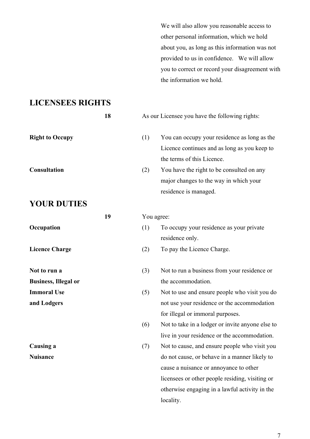We will also allow you reasonable access to other personal information, which we hold about you, as long as this information was not provided to us in confidence. We will allow you to correct or record your disagreement with the information we hold.

## **LICENSEES RIGHTS**

|                             | 18 | As our Licensee you have the following rights: |                                                                                                                            |
|-----------------------------|----|------------------------------------------------|----------------------------------------------------------------------------------------------------------------------------|
| <b>Right to Occupy</b>      |    | (1)                                            | You can occupy your residence as long as the<br>Licence continues and as long as you keep to<br>the terms of this Licence. |
| <b>Consultation</b>         |    | (2)                                            | You have the right to be consulted on any<br>major changes to the way in which your<br>residence is managed.               |
| <b>YOUR DUTIES</b>          |    |                                                |                                                                                                                            |
|                             | 19 |                                                | You agree:                                                                                                                 |
| Occupation                  |    | (1)                                            | To occupy your residence as your private<br>residence only.                                                                |
| <b>Licence Charge</b>       |    | (2)                                            | To pay the Licence Charge.                                                                                                 |
| Not to run a                |    | (3)                                            | Not to run a business from your residence or                                                                               |
| <b>Business, Illegal or</b> |    |                                                | the accommodation.                                                                                                         |
| <b>Immoral Use</b>          |    | (5)                                            | Not to use and ensure people who visit you do                                                                              |
| and Lodgers                 |    |                                                | not use your residence or the accommodation<br>for illegal or immoral purposes.                                            |
|                             |    | (6)                                            | Not to take in a lodger or invite anyone else to<br>live in your residence or the accommodation.                           |
| Causing a                   |    | (7)                                            | Not to cause, and ensure people who visit you                                                                              |
| <b>Nuisance</b>             |    |                                                | do not cause, or behave in a manner likely to                                                                              |
|                             |    |                                                | cause a nuisance or annoyance to other                                                                                     |
|                             |    |                                                | licensees or other people residing, visiting or                                                                            |
|                             |    |                                                | otherwise engaging in a lawful activity in the                                                                             |
|                             |    |                                                | locality.                                                                                                                  |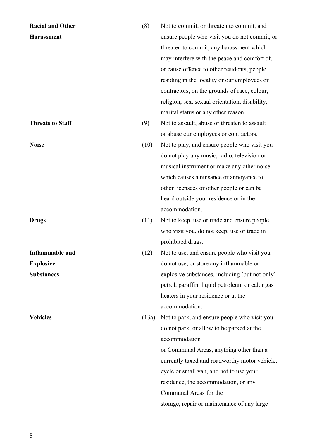| <b>Racial and Other</b> | (8)   | Not to commit, or threaten to commit, and       |
|-------------------------|-------|-------------------------------------------------|
| <b>Harassment</b>       |       | ensure people who visit you do not commit, or   |
|                         |       | threaten to commit, any harassment which        |
|                         |       | may interfere with the peace and comfort of,    |
|                         |       | or cause offence to other residents, people     |
|                         |       | residing in the locality or our employees or    |
|                         |       | contractors, on the grounds of race, colour,    |
|                         |       | religion, sex, sexual orientation, disability,  |
|                         |       | marital status or any other reason.             |
| <b>Threats to Staff</b> | (9)   | Not to assault, abuse or threaten to assault    |
|                         |       | or abuse our employees or contractors.          |
| <b>Noise</b>            | (10)  | Not to play, and ensure people who visit you    |
|                         |       | do not play any music, radio, television or     |
|                         |       | musical instrument or make any other noise      |
|                         |       | which causes a nuisance or annoyance to         |
|                         |       | other licensees or other people or can be       |
|                         |       | heard outside your residence or in the          |
|                         |       | accommodation.                                  |
| <b>Drugs</b>            | (11)  | Not to keep, use or trade and ensure people     |
|                         |       | who visit you, do not keep, use or trade in     |
|                         |       | prohibited drugs.                               |
| <b>Inflammable</b> and  | (12)  | Not to use, and ensure people who visit you     |
| <b>Explosive</b>        |       | do not use, or store any inflammable or         |
| <b>Substances</b>       |       | explosive substances, including (but not only)  |
|                         |       | petrol, paraffin, liquid petroleum or calor gas |
|                         |       | heaters in your residence or at the             |
|                         |       | accommodation.                                  |
| <b>Vehicles</b>         | (13a) | Not to park, and ensure people who visit you    |
|                         |       | do not park, or allow to be parked at the       |
|                         |       | accommodation                                   |
|                         |       | or Communal Areas, anything other than a        |
|                         |       | currently taxed and roadworthy motor vehicle,   |
|                         |       | cycle or small van, and not to use your         |
|                         |       | residence, the accommodation, or any            |
|                         |       | Communal Areas for the                          |
|                         |       | storage, repair or maintenance of any large     |
|                         |       |                                                 |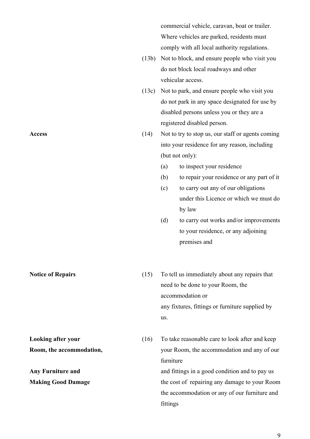commercial vehicle, caravan, boat or trailer. Where vehicles are parked, residents must comply with all local authority regulations.

- (13b) Not to block, and ensure people who visit you do not block local roadways and other vehicular access.
- (13c) Not to park, and ensure people who visit you do not park in any space designated for use by disabled persons unless you or they are a registered disabled person.
- Access (14) Not to try to stop us, our staff or agents coming into your residence for any reason, including (but not only):
	- (a) to inspect your residence
	- (b) to repair your residence or any part of it
	- (c) to carry out any of our obligations under this Licence or which we must do by law
	- (d) to carry out works and/or improvements to your residence, or any adjoining premises and
- **Notice of Repairs** (15) To tell us immediately about any repairs that need to be done to your Room, the accommodation or any fixtures, fittings or furniture supplied by us.

**Looking after your** (16) To take reasonable care to look after and keep **Room, the accommodation,**  $\qquad \qquad \text{your Room, the accommodation and any of our$ furniture Any Furniture and<br>and fittings in a good condition and to pay us **Making Good Damage** the cost of repairing any damage to your Room the accommodation or any of our furniture and fittings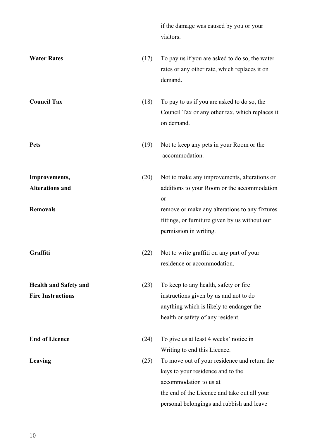if the damage was caused by you or your visitors.

personal belongings and rubbish and leave

| <b>Water Rates</b>                                       | (17) | To pay us if you are asked to do so, the water<br>rates or any other rate, which replaces it on<br>demand.                                                       |
|----------------------------------------------------------|------|------------------------------------------------------------------------------------------------------------------------------------------------------------------|
| <b>Council Tax</b>                                       | (18) | To pay to us if you are asked to do so, the<br>Council Tax or any other tax, which replaces it<br>on demand.                                                     |
| <b>Pets</b>                                              | (19) | Not to keep any pets in your Room or the<br>accommodation.                                                                                                       |
| Improvements,<br><b>Alterations and</b>                  | (20) | Not to make any improvements, alterations or<br>additions to your Room or the accommodation<br>or                                                                |
| <b>Removals</b>                                          |      | remove or make any alterations to any fixtures<br>fittings, or furniture given by us without our<br>permission in writing.                                       |
| Graffiti                                                 | (22) | Not to write graffiti on any part of your<br>residence or accommodation.                                                                                         |
| <b>Health and Safety and</b><br><b>Fire Instructions</b> | (23) | To keep to any health, safety or fire<br>instructions given by us and not to do<br>anything which is likely to endanger the<br>health or safety of any resident. |
| <b>End of Licence</b>                                    | (24) | To give us at least 4 weeks' notice in<br>Writing to end this Licence.                                                                                           |
| Leaving                                                  | (25) | To move out of your residence and return the<br>keys to your residence and to the<br>accommodation to us at<br>the end of the Licence and take out all your      |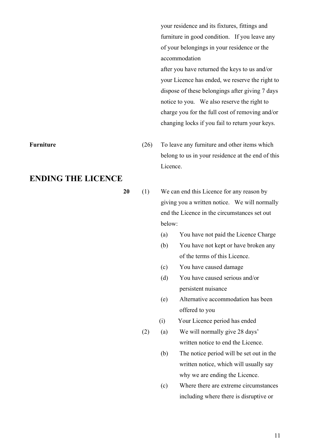your residence and its fixtures, fittings and furniture in good condition. If you leave any of your belongings in your residence or the accommodation

after you have returned the keys to us and/or your Licence has ended, we reserve the right to dispose of these belongings after giving 7 days notice to you. We also reserve the right to charge you for the full cost of removing and/or changing locks if you fail to return your keys.

- **Furniture** (26) To leave any furniture and other items which belong to us in your residence at the end of this Licence.
	- **20** (1) We can end this Licence for any reason by giving you a written notice. We will normally end the Licence in the circumstances set out below:
		- (a) You have not paid the Licence Charge
		- (b) You have not kept or have broken any of the terms of this Licence.
		- (c) You have caused damage
		- (d) You have caused serious and/or persistent nuisance
		- (e) Alternative accommodation has been offered to you
		- (i) Your Licence period has ended
		- (2) (a) We will normally give 28 days' written notice to end the Licence.
			- (b) The notice period will be set out in the written notice, which will usually say why we are ending the Licence.
			- (c) Where there are extreme circumstances including where there is disruptive or

### **ENDING THE LICENCE**

11